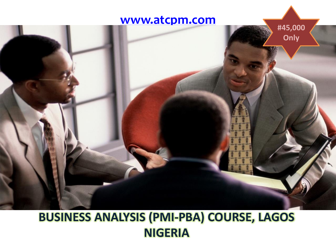## **[www.atcpm.com](http://www.atcpm.com/)**



# **BUSINESS ANALYSIS (PMI-PBA) COURSE, LAGOS NIGERIA**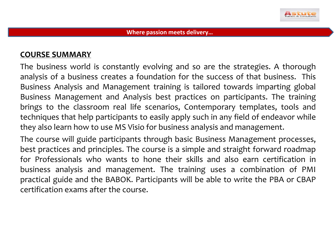

#### **COURSE SUMMARY**

The business world is constantly evolving and so are the strategies. A thorough analysis of a business creates a foundation for the success of that business. This Business Analysis and Management training is tailored towards imparting global Business Management and Analysis best practices on participants. The training brings to the classroom real life scenarios, Contemporary templates, tools and techniques that help participants to easily apply such in any field of endeavor while they also learn how to use MS Visio for business analysis and management.

The course will guide participants through basic Business Management processes, best practices and principles. The course is a simple and straight forward roadmap for Professionals who wants to hone their skills and also earn certification in business analysis and management. The training uses a combination of PMI practical guide and the BABOK. Participants will be able to write the PBA or CBAP certification exams after the course.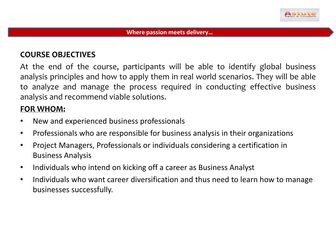

#### **COURSE OBJECTIVES**

At the end of the course, participants will be able to identify global business analysis principles and how to apply them in real world scenarios. They will be able to analyze and manage the process required in conducting effective business analysis and recommend viable solutions.

#### **FOR WHOM:**

- New and experienced business professionals
- Professionals who are responsible for business analysis in their organizations
- Project Managers, Professionals or individuals considering a certification in Business Analysis
- Individuals who intend on kicking off a career as Business Analyst
- Individuals who want career diversification and thus need to learn how to manage businesses successfully.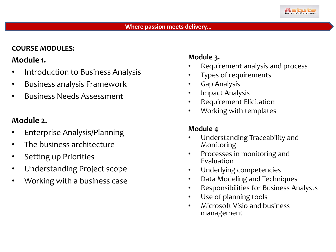

#### **COURSE MODULES:**

## **Module 1.**

- Introduction to Business Analysis
- Business analysis Framework
- Business Needs Assessment

## **Module 2.**

- Enterprise Analysis/Planning
- The business architecture
- Setting up Priorities
- Understanding Project scope
- Working with a business case

## **Module 3.**

- Requirement analysis and process
- Types of requirements
- Gap Analysis
- Impact Analysis
- Requirement Elicitation
- Working with templates

### **Module 4**

- Understanding Traceability and Monitoring
- Processes in monitoring and Evaluation
- Underlying competencies
- Data Modeling and Techniques
- Responsibilities for Business Analysts
- Use of planning tools
- Microsoft Visio and business management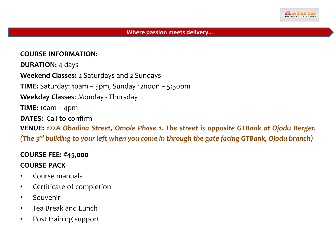

#### **COURSE INFORMATION:**

**DURATION:** 4 days **Weekend Classes:** 2 Saturdays and 2 Sundays **TIME:** Saturday: 10am – 5pm, Sunday 12noon – 5:30pm **Weekday Classes**: Monday - Thursday **TIME:** 10am – 4pm **DATES:** Call to confirm **VENUE:** *122A Obadina Street, Omole Phase 1. The street is opposite GTBank at Ojodu Berger. (The 3 rd building to your left when you come in through the gate facing GTBank, Ojodu branch)*

#### **COURSE FEE: #45,000**

#### **COURSE PACK**

- Course manuals
- Certificate of completion
- Souvenir
- Tea Break and Lunch
- Post training support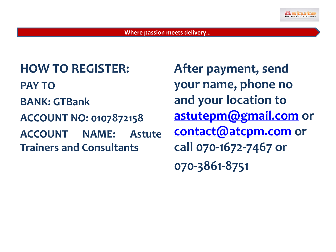

**HOW TO REGISTER: PAY TO BANK: GTBank ACCOUNT NO: 0107872158 ACCOUNT NAME: Astute Trainers and Consultants**

**After payment, send your name, phone no and your location to [astutepm@gmail.com](mailto:astutepm@gmail.com) or [contact@atcpm.com](mailto:contact@atcpm.com) or call 070-1672-7467 or 070-3861-8751**